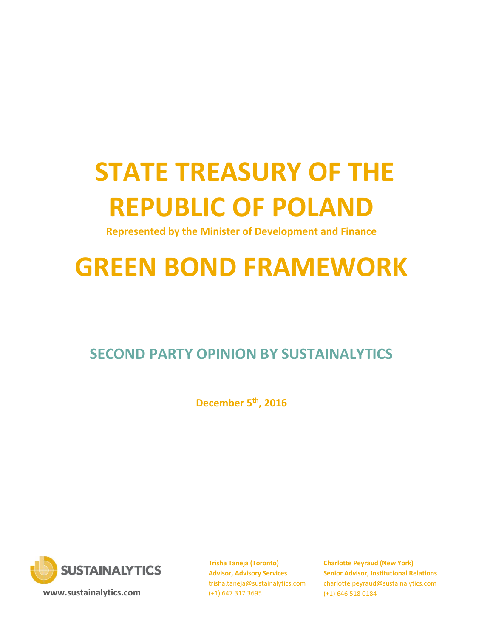# **STATE TREASURY OF THE REPUBLIC OF POLAND**

**Represented by the Minister of Development and Finance**

# **GREEN BOND FRAMEWORK**

## **SECOND PARTY OPINION BY SUSTAINALYTICS**

**December 5th, 2016**



**[www.sustainalytics.com](http://www.sustainalytics.com/)**

**Trisha Taneja (Toronto) Advisor, Advisory Services** trisha.taneja@sustainalytics.com (+1) 647 317 3695

**Charlotte Peyraud (New York) Senior Advisor, Institutional Relations** [charlotte.peyraud@sustainalytics.com](mailto:charlotte.peyraud@sustainalytics.com) (+1) 646 518 0184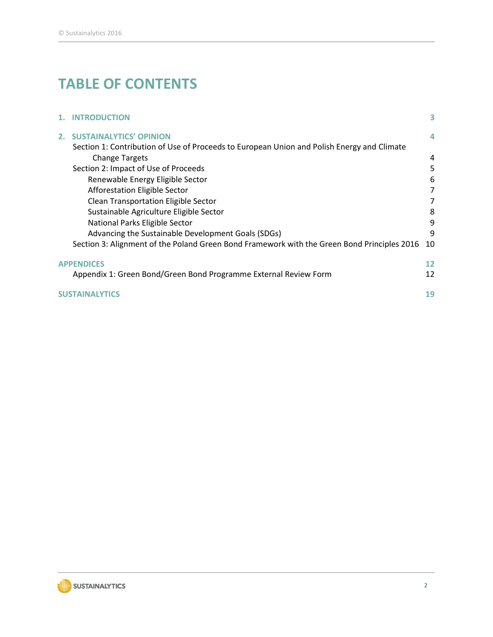## **TABLE OF CONTENTS**

|  | 1. INTRODUCTION                                                                             | 3  |
|--|---------------------------------------------------------------------------------------------|----|
|  | 2. SUSTAINALYTICS' OPINION                                                                  | 4  |
|  | Section 1: Contribution of Use of Proceeds to European Union and Polish Energy and Climate  |    |
|  | <b>Change Targets</b>                                                                       | 4  |
|  | Section 2: Impact of Use of Proceeds                                                        | 5  |
|  | Renewable Energy Eligible Sector                                                            | 6  |
|  | Afforestation Eligible Sector                                                               | 7  |
|  | <b>Clean Transportation Eligible Sector</b>                                                 |    |
|  | Sustainable Agriculture Eligible Sector                                                     | 8  |
|  | National Parks Eligible Sector                                                              | 9  |
|  | Advancing the Sustainable Development Goals (SDGs)                                          | 9  |
|  | Section 3: Alignment of the Poland Green Bond Framework with the Green Bond Principles 2016 | 10 |
|  | <b>APPENDICES</b>                                                                           |    |
|  | Appendix 1: Green Bond/Green Bond Programme External Review Form                            | 12 |
|  | <b>SUSTAINAL</b>                                                                            | 19 |

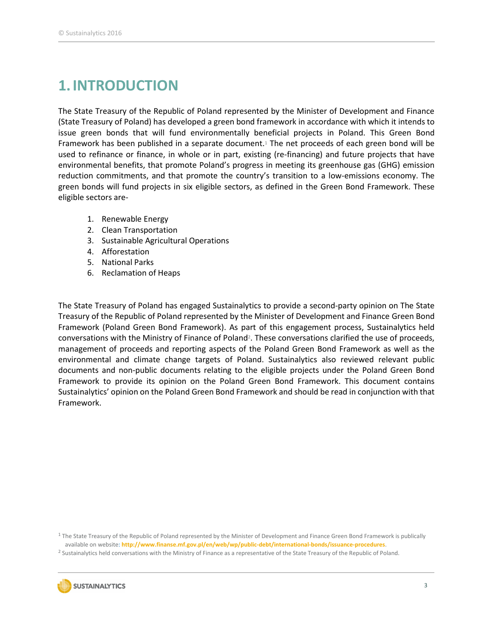## <span id="page-2-0"></span>**1.INTRODUCTION**

The State Treasury of the Republic of Poland represented by the Minister of Development and Finance (State Treasury of Poland) has developed a green bond framework in accordance with which it intends to issue green bonds that will fund environmentally beneficial projects in Poland. This Green Bond Framework has been published in a separate document.<sup>1</sup> The net proceeds of each green bond will be used to refinance or finance, in whole or in part, existing (re-financing) and future projects that have environmental benefits, that promote Poland's progress in meeting its greenhouse gas (GHG) emission reduction commitments, and that promote the country's transition to a low-emissions economy. The green bonds will fund projects in six eligible sectors, as defined in the Green Bond Framework. These eligible sectors are-

- 1. Renewable Energy
- 2. Clean Transportation
- 3. Sustainable Agricultural Operations
- 4. Afforestation
- 5. National Parks
- 6. Reclamation of Heaps

The State Treasury of Poland has engaged Sustainalytics to provide a second-party opinion on The State Treasury of the Republic of Poland represented by the Minister of Development and Finance Green Bond Framework (Poland Green Bond Framework). As part of this engagement process, Sustainalytics held conversations with the Ministry of Finance of Poland<sup>2</sup>. These conversations clarified the use of proceeds, management of proceeds and reporting aspects of the Poland Green Bond Framework as well as the environmental and climate change targets of Poland. Sustainalytics also reviewed relevant public documents and non-public documents relating to the eligible projects under the Poland Green Bond Framework to provide its opinion on the Poland Green Bond Framework. This document contains Sustainalytics' opinion on the Poland Green Bond Framework and should be read in conjunction with that Framework.

 $1$  The State Treasury of the Republic of Poland represented by the Minister of Development and Finance Green Bond Framework is publically available on website: **<http://www.finanse.mf.gov.pl/en/web/wp/public-debt/international-bonds/issuance-procedures>**.

<sup>2</sup> Sustainalytics held conversations with the Ministry of Finance as a representative of the State Treasury of the Republic of Poland.

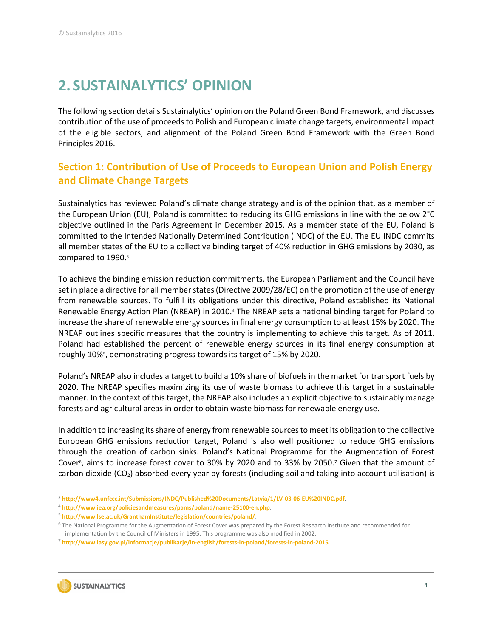## <span id="page-3-0"></span>**2. SUSTAINALYTICS' OPINION**

The following section details Sustainalytics' opinion on the Poland Green Bond Framework, and discusses contribution of the use of proceeds to Polish and European climate change targets, environmental impact of the eligible sectors, and alignment of the Poland Green Bond Framework with the Green Bond Principles 2016.

### <span id="page-3-1"></span>**Section 1: Contribution of Use of Proceeds to European Union and Polish Energy and Climate Change Targets**

Sustainalytics has reviewed Poland's climate change strategy and is of the opinion that, as a member of the European Union (EU), Poland is committed to reducing its GHG emissions in line with the below 2°C objective outlined in the Paris Agreement in December 2015. As a member state of the EU, Poland is committed to the Intended Nationally Determined Contribution (INDC) of the EU. The EU INDC commits all member states of the EU to a collective binding target of 40% reduction in GHG emissions by 2030, as compared to 1990.<sup>3</sup>

To achieve the binding emission reduction commitments, the European Parliament and the Council have set in place a directive for all member states (Directive 2009/28/EC) on the promotion of the use of energy from renewable sources. To fulfill its obligations under this directive, Poland established its National Renewable Energy Action Plan (NREAP) in 2010.<sup>4</sup> The NREAP sets a national binding target for Poland to increase the share of renewable energy sources in final energy consumption to at least 15% by 2020. The NREAP outlines specific measures that the country is implementing to achieve this target. As of 2011, Poland had established the percent of renewable energy sources in its final energy consumption at roughly 10%<sup>5</sup> , demonstrating progress towards its target of 15% by 2020.

Poland's NREAP also includes a target to build a 10% share of biofuels in the market for transport fuels by 2020. The NREAP specifies maximizing its use of waste biomass to achieve this target in a sustainable manner. In the context of this target, the NREAP also includes an explicit objective to sustainably manage forests and agricultural areas in order to obtain waste biomass for renewable energy use.

In addition to increasing its share of energy from renewable sources to meet its obligation to the collective European GHG emissions reduction target, Poland is also well positioned to reduce GHG emissions through the creation of carbon sinks. Poland's National Programme for the Augmentation of Forest Cover<sup>6</sup> , aims to increase forest cover to 30% by 2020 and to 33% by 2050.<sup>7</sup> Given that the amount of carbon dioxide  $(CO_2)$  absorbed every year by forests (including soil and taking into account utilisation) is

- <sup>3</sup> **<http://www4.unfccc.int/Submissions/INDC/Published%20Documents/Latvia/1/LV-03-06-EU%20INDC.pdf>**.
- <sup>4</sup> **<http://www.iea.org/policiesandmeasures/pams/poland/name-25100-en.php>**.
- <sup>5</sup> **<http://www.lse.ac.uk/GranthamInstitute/legislation/countries/poland/>**.

<sup>7</sup> **<http://www.lasy.gov.pl/informacje/publikacje/in-english/forests-in-poland/forests-in-poland-2015>**.



<sup>6</sup> The National Programme for the Augmentation of Forest Cover was prepared by the Forest Research Institute and recommended for implementation by the Council of Ministers in 1995. This programme was also modified in 2002.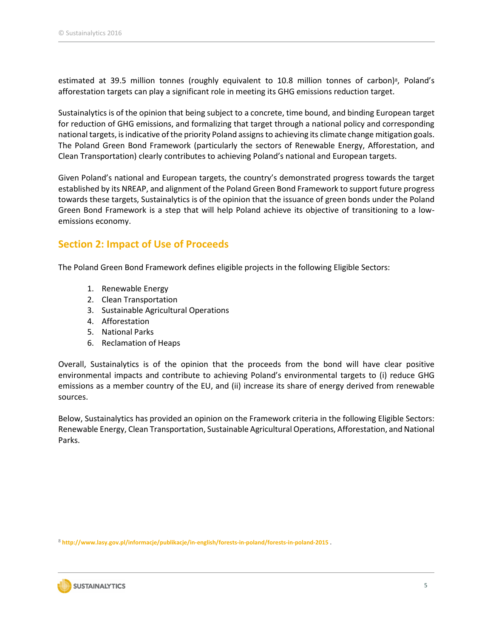estimated at 39.5 million tonnes (roughly equivalent to 10.8 million tonnes of carbon)<sup>8</sup>, Poland's afforestation targets can play a significant role in meeting its GHG emissions reduction target.

Sustainalytics is of the opinion that being subject to a concrete, time bound, and binding European target for reduction of GHG emissions, and formalizing that target through a national policy and corresponding national targets, is indicative of the priority Poland assigns to achieving its climate change mitigation goals. The Poland Green Bond Framework (particularly the sectors of Renewable Energy, Afforestation, and Clean Transportation) clearly contributes to achieving Poland's national and European targets.

Given Poland's national and European targets, the country's demonstrated progress towards the target established by its NREAP, and alignment of the Poland Green Bond Framework to support future progress towards these targets, Sustainalytics is of the opinion that the issuance of green bonds under the Poland Green Bond Framework is a step that will help Poland achieve its objective of transitioning to a lowemissions economy.

#### <span id="page-4-0"></span>**Section 2: Impact of Use of Proceeds**

The Poland Green Bond Framework defines eligible projects in the following Eligible Sectors:

- 1. Renewable Energy
- 2. Clean Transportation
- 3. Sustainable Agricultural Operations
- 4. Afforestation
- 5. National Parks
- 6. Reclamation of Heaps

Overall, Sustainalytics is of the opinion that the proceeds from the bond will have clear positive environmental impacts and contribute to achieving Poland's environmental targets to (i) reduce GHG emissions as a member country of the EU, and (ii) increase its share of energy derived from renewable sources.

Below, Sustainalytics has provided an opinion on the Framework criteria in the following Eligible Sectors: Renewable Energy, Clean Transportation, Sustainable Agricultural Operations, Afforestation, and National Parks.

<sup>8</sup> **<http://www.lasy.gov.pl/informacje/publikacje/in-english/forests-in-poland/forests-in-poland-2015> .**

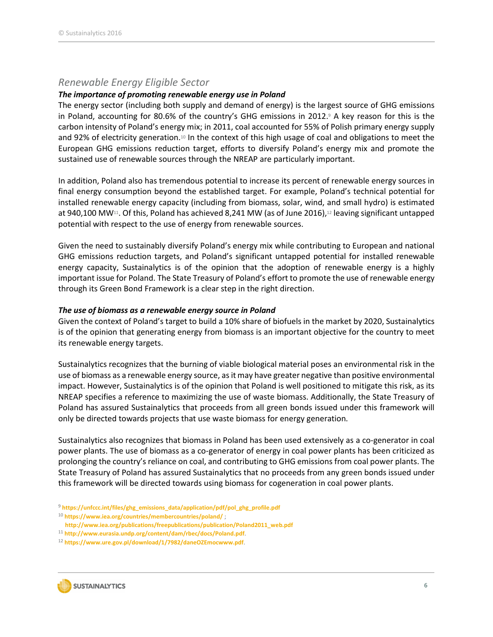#### <span id="page-5-0"></span>*Renewable Energy Eligible Sector*

#### *The importance of promoting renewable energy use in Poland*

The energy sector (including both supply and demand of energy) is the largest source of GHG emissions in Poland, accounting for 80.6% of the country's GHG emissions in 2012. <sup>9</sup> A key reason for this is the carbon intensity of Poland's energy mix; in 2011, coal accounted for 55% of Polish primary energy supply and 92% of electricity generation.<sup>10</sup> In the context of this high usage of coal and obligations to meet the European GHG emissions reduction target, efforts to diversify Poland's energy mix and promote the sustained use of renewable sources through the NREAP are particularly important.

In addition, Poland also has tremendous potential to increase its percent of renewable energy sources in final energy consumption beyond the established target. For example, Poland's technical potential for installed renewable energy capacity (including from biomass, solar, wind, and small hydro) is estimated at 940,100 MW<sup>11</sup>. Of this, Poland has achieved 8,241 MW (as of June 2016),<sup>12</sup> leaving significant untapped potential with respect to the use of energy from renewable sources.

Given the need to sustainably diversify Poland's energy mix while contributing to European and national GHG emissions reduction targets, and Poland's significant untapped potential for installed renewable energy capacity, Sustainalytics is of the opinion that the adoption of renewable energy is a highly important issue for Poland. The State Treasury of Poland's effort to promote the use of renewable energy through its Green Bond Framework is a clear step in the right direction.

#### *The use of biomass as a renewable energy source in Poland*

Given the context of Poland's target to build a 10% share of biofuels in the market by 2020, Sustainalytics is of the opinion that generating energy from biomass is an important objective for the country to meet its renewable energy targets.

Sustainalytics recognizes that the burning of viable biological material poses an environmental risk in the use of biomass as a renewable energy source, as it may have greater negative than positive environmental impact. However, Sustainalytics is of the opinion that Poland is well positioned to mitigate this risk, as its NREAP specifies a reference to maximizing the use of waste biomass. Additionally, the State Treasury of Poland has assured Sustainalytics that proceeds from all green bonds issued under this framework will only be directed towards projects that use waste biomass for energy generation.

Sustainalytics also recognizes that biomass in Poland has been used extensively as a co-generator in coal power plants. The use of biomass as a co-generator of energy in coal power plants has been criticized as prolonging the country's reliance on coal, and contributing to GHG emissions from coal power plants. The State Treasury of Poland has assured Sustainalytics that no proceeds from any green bonds issued under this framework will be directed towards using biomass for cogeneration in coal power plants.

<sup>12</sup> **<https://www.ure.gov.pl/download/1/7982/daneOZEmocwww.pdf>**.



<sup>9</sup> **[https://unfccc.int/files/ghg\\_emissions\\_data/application/pdf/pol\\_ghg\\_profile.pdf](https://unfccc.int/files/ghg_emissions_data/application/pdf/pol_ghg_profile.pdf)**

<sup>10</sup> **<https://www.iea.org/countries/membercountries/poland/>** ;

**[http://www.iea.org/publications/freepublications/publication/Poland2011\\_web.pdf](http://www.iea.org/publications/freepublications/publication/Poland2011_web.pdf)**

<sup>11</sup> **<http://www.eurasia.undp.org/content/dam/rbec/docs/Poland.pdf>**.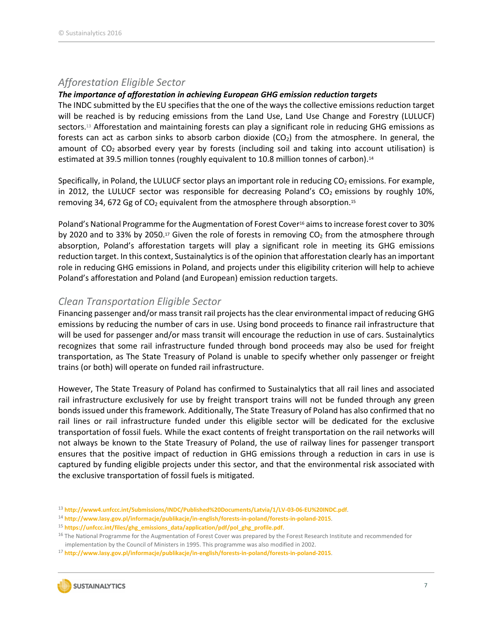#### <span id="page-6-0"></span>*Afforestation Eligible Sector*

#### *The importance of afforestation in achieving European GHG emission reduction targets*

The INDC submitted by the EU specifies that the one of the ways the collective emissions reduction target will be reached is by reducing emissions from the Land Use, Land Use Change and Forestry (LULUCF) sectors.<sup>13</sup> Afforestation and maintaining forests can play a significant role in reducing GHG emissions as forests can act as carbon sinks to absorb carbon dioxide  $(CO<sub>2</sub>)$  from the atmosphere. In general, the amount of  $CO<sub>2</sub>$  absorbed every year by forests (including soil and taking into account utilisation) is estimated at 39.5 million tonnes (roughly equivalent to 10.8 million tonnes of carbon).<sup>14</sup>

Specifically, in Poland, the LULUCF sector plays an important role in reducing  $CO<sub>2</sub>$  emissions. For example, in 2012, the LULUCF sector was responsible for decreasing Poland's  $CO<sub>2</sub>$  emissions by roughly 10%, removing 34, 672 Gg of  $CO<sub>2</sub>$  equivalent from the atmosphere through absorption.<sup>15</sup>

Poland's National Programme for the Augmentation of Forest Cover<sup>16</sup> aims to increase forest cover to 30% by 2020 and to 33% by 2050.<sup>17</sup> Given the role of forests in removing  $CO<sub>2</sub>$  from the atmosphere through absorption, Poland's afforestation targets will play a significant role in meeting its GHG emissions reduction target. In this context, Sustainalytics is of the opinion that afforestation clearly has an important role in reducing GHG emissions in Poland, and projects under this eligibility criterion will help to achieve Poland's afforestation and Poland (and European) emission reduction targets.

#### <span id="page-6-1"></span>*Clean Transportation Eligible Sector*

Financing passenger and/or mass transit rail projects has the clear environmental impact of reducing GHG emissions by reducing the number of cars in use. Using bond proceeds to finance rail infrastructure that will be used for passenger and/or mass transit will encourage the reduction in use of cars. Sustainalytics recognizes that some rail infrastructure funded through bond proceeds may also be used for freight transportation, as The State Treasury of Poland is unable to specify whether only passenger or freight trains (or both) will operate on funded rail infrastructure.

However, The State Treasury of Poland has confirmed to Sustainalytics that all rail lines and associated rail infrastructure exclusively for use by freight transport trains will not be funded through any green bonds issued under this framework. Additionally, The State Treasury of Poland has also confirmed that no rail lines or rail infrastructure funded under this eligible sector will be dedicated for the exclusive transportation of fossil fuels. While the exact contents of freight transportation on the rail networks will not always be known to the State Treasury of Poland, the use of railway lines for passenger transport ensures that the positive impact of reduction in GHG emissions through a reduction in cars in use is captured by funding eligible projects under this sector, and that the environmental risk associated with the exclusive transportation of fossil fuels is mitigated.

<sup>13</sup> **<http://www4.unfccc.int/Submissions/INDC/Published%20Documents/Latvia/1/LV-03-06-EU%20INDC.pdf>**.

<sup>17</sup> **<http://www.lasy.gov.pl/informacje/publikacje/in-english/forests-in-poland/forests-in-poland-2015>**.



<sup>14</sup> **<http://www.lasy.gov.pl/informacje/publikacje/in-english/forests-in-poland/forests-in-poland-2015>**.

<sup>15</sup> **[https://unfccc.int/files/ghg\\_emissions\\_data/application/pdf/pol\\_ghg\\_profile.pdf](https://unfccc.int/files/ghg_emissions_data/application/pdf/pol_ghg_profile.pdf)**.

<sup>&</sup>lt;sup>16</sup> The National Programme for the Augmentation of Forest Cover was prepared by the Forest Research Institute and recommended for implementation by the Council of Ministers in 1995. This programme was also modified in 2002.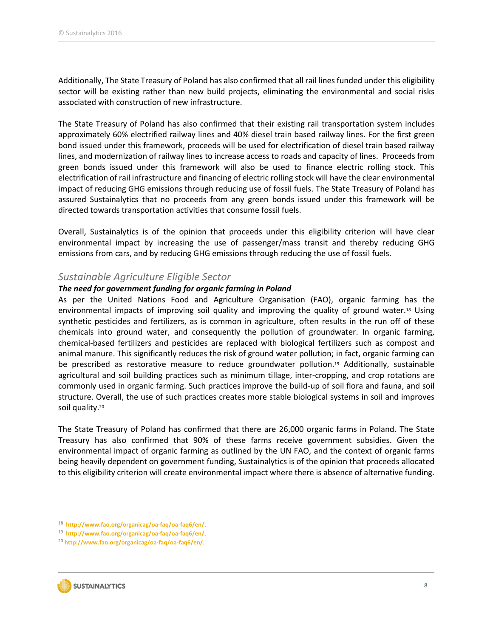Additionally, The State Treasury of Poland has also confirmed that all rail lines funded under this eligibility sector will be existing rather than new build projects, eliminating the environmental and social risks associated with construction of new infrastructure.

The State Treasury of Poland has also confirmed that their existing rail transportation system includes approximately 60% electrified railway lines and 40% diesel train based railway lines. For the first green bond issued under this framework, proceeds will be used for electrification of diesel train based railway lines, and modernization of railway lines to increase access to roads and capacity of lines. Proceeds from green bonds issued under this framework will also be used to finance electric rolling stock. This electrification of rail infrastructure and financing of electric rolling stock will have the clear environmental impact of reducing GHG emissions through reducing use of fossil fuels. The State Treasury of Poland has assured Sustainalytics that no proceeds from any green bonds issued under this framework will be directed towards transportation activities that consume fossil fuels.

Overall, Sustainalytics is of the opinion that proceeds under this eligibility criterion will have clear environmental impact by increasing the use of passenger/mass transit and thereby reducing GHG emissions from cars, and by reducing GHG emissions through reducing the use of fossil fuels.

#### <span id="page-7-0"></span>*Sustainable Agriculture Eligible Sector*

#### *The need for government funding for organic farming in Poland*

As per the United Nations Food and Agriculture Organisation (FAO), organic farming has the environmental impacts of improving soil quality and improving the quality of ground water.<sup>18</sup> Using synthetic pesticides and fertilizers, as is common in agriculture, often results in the run off of these chemicals into ground water, and consequently the pollution of groundwater. In organic farming, chemical-based fertilizers and pesticides are replaced with biological fertilizers such as compost and animal manure. This significantly reduces the risk of ground water pollution; in fact, organic farming can be prescribed as restorative measure to reduce groundwater pollution.<sup>19</sup> Additionally, sustainable agricultural and soil building practices such as minimum tillage, inter-cropping, and crop rotations are commonly used in organic farming. Such practices improve the build-up of soil flora and fauna, and soil structure. Overall, the use of such practices creates more stable biological systems in soil and improves soil quality.<sup>20</sup>

The State Treasury of Poland has confirmed that there are 26,000 organic farms in Poland. The State Treasury has also confirmed that 90% of these farms receive government subsidies. Given the environmental impact of organic farming as outlined by the UN FAO, and the context of organic farms being heavily dependent on government funding, Sustainalytics is of the opinion that proceeds allocated to this eligibility criterion will create environmental impact where there is absence of alternative funding.

<sup>20</sup> **<http://www.fao.org/organicag/oa-faq/oa-faq6/en/>**.



<sup>18</sup> **<http://www.fao.org/organicag/oa-faq/oa-faq6/en/>**.

<sup>19</sup> **<http://www.fao.org/organicag/oa-faq/oa-faq6/en/>**.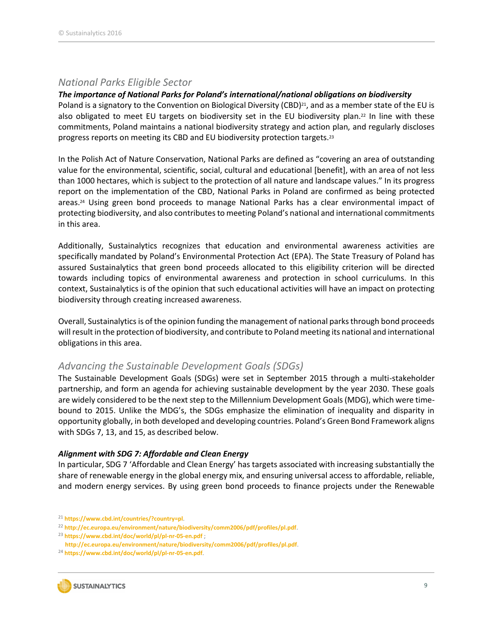#### <span id="page-8-0"></span>*National Parks Eligible Sector*

#### *The importance of National Parks for Poland's international/national obligations on biodiversity*

Poland is a signatory to the Convention on Biological Diversity (CBD)<sup>21</sup>, and as a member state of the EU is also obligated to meet EU targets on biodiversity set in the EU biodiversity plan.<sup>22</sup> In line with these commitments, Poland maintains a national biodiversity strategy and action plan, and regularly discloses progress reports on meeting its CBD and EU biodiversity protection targets.<sup>23</sup>

In the Polish Act of Nature Conservation, National Parks are defined as "covering an area of outstanding value for the environmental, scientific, social, cultural and educational [benefit], with an area of not less than 1000 hectares, which is subject to the protection of all nature and landscape values." In its progress report on the implementation of the CBD, National Parks in Poland are confirmed as being protected areas. <sup>24</sup> Using green bond proceeds to manage National Parks has a clear environmental impact of protecting biodiversity, and also contributes to meeting Poland's national and international commitments in this area.

Additionally, Sustainalytics recognizes that education and environmental awareness activities are specifically mandated by Poland's Environmental Protection Act (EPA). The State Treasury of Poland has assured Sustainalytics that green bond proceeds allocated to this eligibility criterion will be directed towards including topics of environmental awareness and protection in school curriculums. In this context, Sustainalytics is of the opinion that such educational activities will have an impact on protecting biodiversity through creating increased awareness.

Overall, Sustainalytics is of the opinion funding the management of national parks through bond proceeds will result in the protection of biodiversity, and contribute to Poland meeting its national and international obligations in this area.

#### <span id="page-8-1"></span>*Advancing the Sustainable Development Goals (SDGs)*

The Sustainable Development Goals (SDGs) were set in September 2015 through a multi-stakeholder partnership, and form an agenda for achieving sustainable development by the year 2030. These goals are widely considered to be the next step to the Millennium Development Goals (MDG), which were timebound to 2015. Unlike the MDG's, the SDGs emphasize the elimination of inequality and disparity in opportunity globally, in both developed and developing countries. Poland's Green Bond Framework aligns with SDGs 7, 13, and 15, as described below.

#### *Alignment with SDG 7: Affordable and Clean Energy*

In particular, SDG 7 'Affordable and Clean Energy' has targets associated with increasing substantially the share of renewable energy in the global energy mix, and ensuring universal access to affordable, reliable, and modern energy services. By using green bond proceeds to finance projects under the Renewable

<sup>24</sup> **<https://www.cbd.int/doc/world/pl/pl-nr-05-en.pdf>**.



<sup>21</sup> **<https://www.cbd.int/countries/?country=pl>**.

<sup>22</sup> **<http://ec.europa.eu/environment/nature/biodiversity/comm2006/pdf/profiles/pl.pdf>**.

<sup>23</sup> **<https://www.cbd.int/doc/world/pl/pl-nr-05-en.pdf>** ;

**<http://ec.europa.eu/environment/nature/biodiversity/comm2006/pdf/profiles/pl.pdf>**.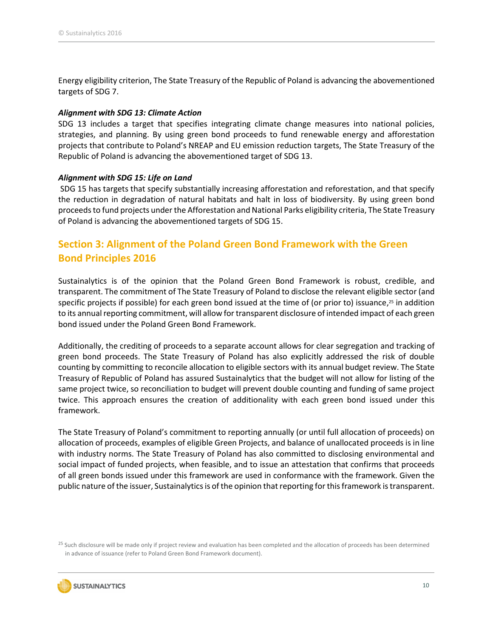Energy eligibility criterion, The State Treasury of the Republic of Poland is advancing the abovementioned targets of SDG 7.

#### *Alignment with SDG 13: Climate Action*

SDG 13 includes a target that specifies integrating climate change measures into national policies, strategies, and planning. By using green bond proceeds to fund renewable energy and afforestation projects that contribute to Poland's NREAP and EU emission reduction targets, The State Treasury of the Republic of Poland is advancing the abovementioned target of SDG 13.

#### *Alignment with SDG 15: Life on Land*

SDG 15 has targets that specify substantially increasing afforestation and reforestation, and that specify the reduction in degradation of natural habitats and halt in loss of biodiversity. By using green bond proceeds to fund projects under the Afforestation and National Parks eligibility criteria, The State Treasury of Poland is advancing the abovementioned targets of SDG 15.

### <span id="page-9-0"></span>**Section 3: Alignment of the Poland Green Bond Framework with the Green Bond Principles 2016**

Sustainalytics is of the opinion that the Poland Green Bond Framework is robust, credible, and transparent. The commitment of The State Treasury of Poland to disclose the relevant eligible sector (and specific projects if possible) for each green bond issued at the time of (or prior to) issuance, <sup>25</sup> in addition to its annual reporting commitment, will allow for transparent disclosure of intended impact of each green bond issued under the Poland Green Bond Framework.

Additionally, the crediting of proceeds to a separate account allows for clear segregation and tracking of green bond proceeds. The State Treasury of Poland has also explicitly addressed the risk of double counting by committing to reconcile allocation to eligible sectors with its annual budget review. The State Treasury of Republic of Poland has assured Sustainalytics that the budget will not allow for listing of the same project twice, so reconciliation to budget will prevent double counting and funding of same project twice. This approach ensures the creation of additionality with each green bond issued under this framework.

The State Treasury of Poland's commitment to reporting annually (or until full allocation of proceeds) on allocation of proceeds, examples of eligible Green Projects, and balance of unallocated proceeds is in line with industry norms. The State Treasury of Poland has also committed to disclosing environmental and social impact of funded projects, when feasible, and to issue an attestation that confirms that proceeds of all green bonds issued under this framework are used in conformance with the framework. Given the public nature of the issuer, Sustainalytics is of the opinion that reporting for this framework is transparent.

<sup>&</sup>lt;sup>25</sup> Such disclosure will be made only if project review and evaluation has been completed and the allocation of proceeds has been determined in advance of issuance (refer to Poland Green Bond Framework document).

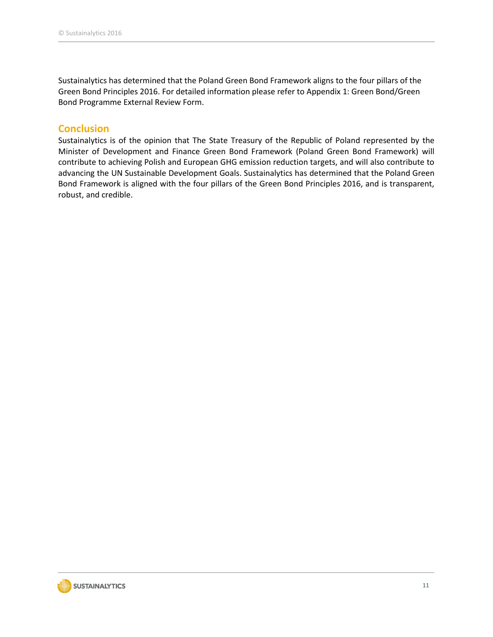Sustainalytics has determined that the Poland Green Bond Framework aligns to the four pillars of the Green Bond Principles 2016. For detailed information please refer to Appendix 1: Green Bond/Green Bond Programme External Review Form.

#### **Conclusion**

Sustainalytics is of the opinion that The State Treasury of the Republic of Poland represented by the Minister of Development and Finance Green Bond Framework (Poland Green Bond Framework) will contribute to achieving Polish and European GHG emission reduction targets, and will also contribute to advancing the UN Sustainable Development Goals. Sustainalytics has determined that the Poland Green Bond Framework is aligned with the four pillars of the Green Bond Principles 2016, and is transparent, robust, and credible.

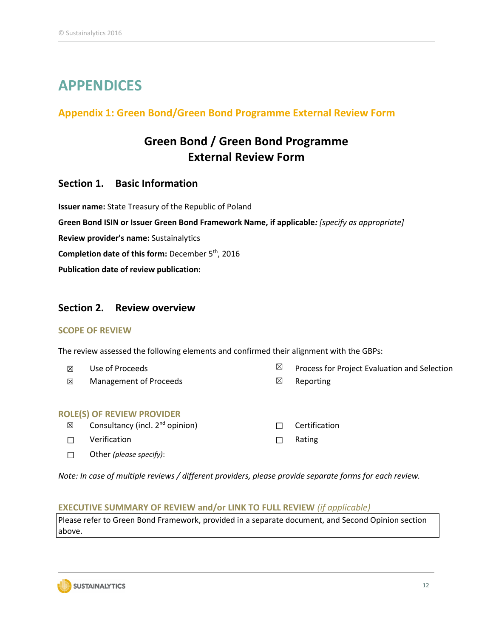## <span id="page-11-0"></span>**APPENDICES**

#### <span id="page-11-1"></span>**Appendix 1: Green Bond/Green Bond Programme External Review Form**

## **Green Bond / Green Bond Programme External Review Form**

#### **Section 1. Basic Information**

**Issuer name:** State Treasury of the Republic of Poland **Green Bond ISIN or Issuer Green Bond Framework Name, if applicable***: [specify as appropriate]* **Review provider's name:** Sustainalytics Completion date of this form: December 5<sup>th</sup>, 2016 **Publication date of review publication:** 

#### **Section 2. Review overview**

#### **SCOPE OF REVIEW**

The review assessed the following elements and confirmed their alignment with the GBPs:

- 
- **⊠** Management of Proceeds <br> **I I** Reporting
- $\boxtimes$  Use of Proceeds  $\boxtimes$  Process for Project Evaluation and Selection
	-

#### **ROLE(S) OF REVIEW PROVIDER**

- ☒ Consultancy (incl. 2nd opinion) ☐ Certification
- ☐ Verification ☐ Rating
- ☐ Other *(please specify)*:
- 
- 

*Note: In case of multiple reviews / different providers, please provide separate forms for each review.* 

#### **EXECUTIVE SUMMARY OF REVIEW and/or LINK TO FULL REVIEW** *(if applicable)*

Please refer to Green Bond Framework, provided in a separate document, and Second Opinion section above.

**SUSTAINALYTICS**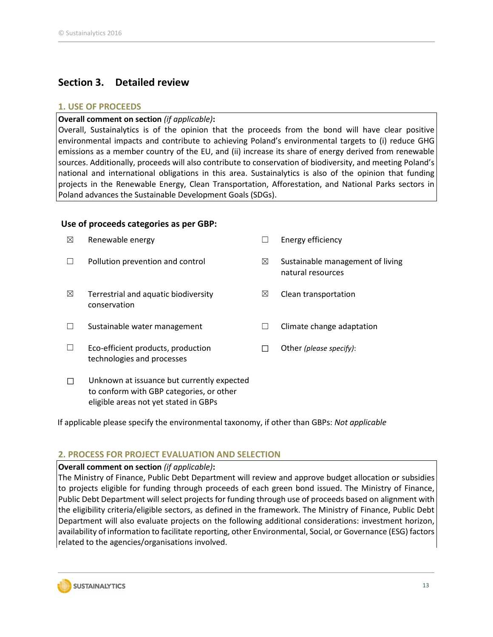### **Section 3. Detailed review**

#### **1. USE OF PROCEEDS**

#### **Overall comment on section** *(if applicable)***:**

Overall, Sustainalytics is of the opinion that the proceeds from the bond will have clear positive environmental impacts and contribute to achieving Poland's environmental targets to (i) reduce GHG emissions as a member country of the EU, and (ii) increase its share of energy derived from renewable sources. Additionally, proceeds will also contribute to conservation of biodiversity, and meeting Poland's national and international obligations in this area. Sustainalytics is also of the opinion that funding projects in the Renewable Energy, Clean Transportation, Afforestation, and National Parks sectors in Poland advances the Sustainable Development Goals (SDGs).

#### **Use of proceeds categories as per GBP:**

| ⊠ | Renewable energy                                                                                                                |             | Energy efficiency                                     |
|---|---------------------------------------------------------------------------------------------------------------------------------|-------------|-------------------------------------------------------|
|   | Pollution prevention and control                                                                                                | $\boxtimes$ | Sustainable management of living<br>natural resources |
| ⊠ | Terrestrial and aquatic biodiversity<br>conservation                                                                            | $\boxtimes$ | Clean transportation                                  |
|   | Sustainable water management                                                                                                    |             | Climate change adaptation                             |
|   | Eco-efficient products, production<br>technologies and processes                                                                |             | Other (please specify):                               |
|   | Unknown at issuance but currently expected<br>to conform with GBP categories, or other<br>eligible areas not yet stated in GBPs |             |                                                       |

If applicable please specify the environmental taxonomy, if other than GBPs: *Not applicable*

#### **2. PROCESS FOR PROJECT EVALUATION AND SELECTION**

#### **Overall comment on section** *(if applicable)***:**

The Ministry of Finance, Public Debt Department will review and approve budget allocation or subsidies to projects eligible for funding through proceeds of each green bond issued. The Ministry of Finance, Public Debt Department will select projects for funding through use of proceeds based on alignment with the eligibility criteria/eligible sectors, as defined in the framework. The Ministry of Finance, Public Debt Department will also evaluate projects on the following additional considerations: investment horizon, availability of information to facilitate reporting, other Environmental, Social, or Governance (ESG) factors related to the agencies/organisations involved.

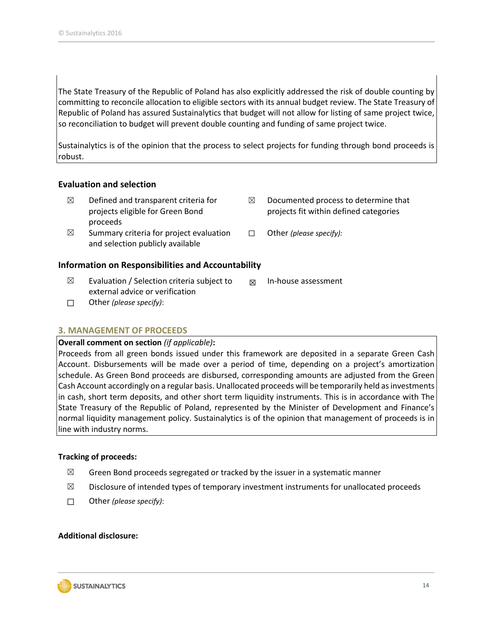The State Treasury of the Republic of Poland has also explicitly addressed the risk of double counting by committing to reconcile allocation to eligible sectors with its annual budget review. The State Treasury of Republic of Poland has assured Sustainalytics that budget will not allow for listing of same project twice, so reconciliation to budget will prevent double counting and funding of same project twice.

Sustainalytics is of the opinion that the process to select projects for funding through bond proceeds is robust.

#### **Evaluation and selection**

- $\boxtimes$  Defined and transparent criteria for projects eligible for Green Bond proceeds
- $\boxtimes$  Summary criteria for project evaluation and selection publicly available

#### **Information on Responsibilities and Accountability**

- $\boxtimes$  Evaluation / Selection criteria subject to external advice or verification  $\boxtimes$  In-house assessment
- ☐ Other *(please specify)*:

#### **3. MANAGEMENT OF PROCEEDS**

#### **Overall comment on section** *(if applicable)***:**

Proceeds from all green bonds issued under this framework are deposited in a separate Green Cash Account. Disbursements will be made over a period of time, depending on a project's amortization schedule. As Green Bond proceeds are disbursed, corresponding amounts are adjusted from the Green Cash Account accordingly on a regular basis. Unallocated proceeds will be temporarily held as investments in cash, short term deposits, and other short term liquidity instruments. This is in accordance with The State Treasury of the Republic of Poland, represented by the Minister of Development and Finance's normal liquidity management policy. Sustainalytics is of the opinion that management of proceeds is in line with industry norms.

#### **Tracking of proceeds:**

- $\boxtimes$  Green Bond proceeds segregated or tracked by the issuer in a systematic manner
- $\boxtimes$  Disclosure of intended types of temporary investment instruments for unallocated proceeds
- ☐ Other *(please specify)*:

#### **Additional disclosure:**



- $\boxtimes$  Documented process to determine that projects fit within defined categories
- ☐ Other *(please specify):*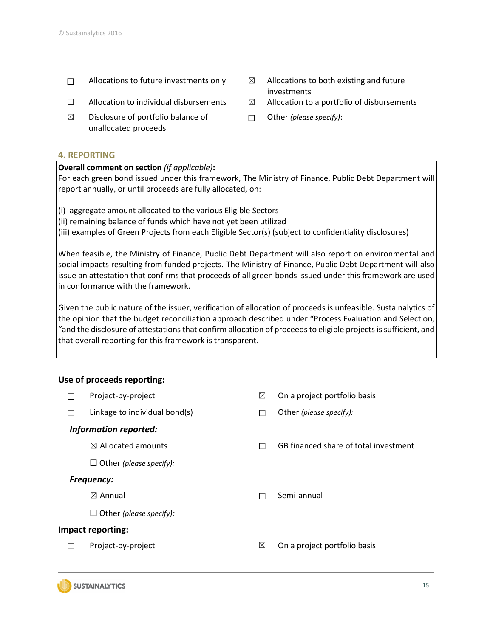- $\Box$  Allocations to future investments only  $\boxtimes$  Allocations to both existing and future
- 
- $\boxtimes$  Disclosure of portfolio balance of unallocated proceeds

#### **4. REPORTING**

#### **Overall comment on section** *(if applicable)***:**

For each green bond issued under this framework, The Ministry of Finance, Public Debt Department will report annually, or until proceeds are fully allocated, on:

(i) aggregate amount allocated to the various Eligible Sectors

(ii) remaining balance of funds which have not yet been utilized

(iii) examples of Green Projects from each Eligible Sector(s) (subject to confidentiality disclosures)

When feasible, the Ministry of Finance, Public Debt Department will also report on environmental and social impacts resulting from funded projects. The Ministry of Finance, Public Debt Department will also issue an attestation that confirms that proceeds of all green bonds issued under this framework are used in conformance with the framework.

Given the public nature of the issuer, verification of allocation of proceeds is unfeasible. Sustainalytics of the opinion that the budget reconciliation approach described under "Process Evaluation and Selection, "and the disclosure of attestations that confirm allocation of proceeds to eligible projects is sufficient, and that overall reporting for this framework is transparent.

#### **Use of proceeds reporting:**

| <b>Talent</b>         | Project-by-project             | ⊠      | On a project portfolio basis          |
|-----------------------|--------------------------------|--------|---------------------------------------|
| П                     | Linkage to individual bond(s)  | $\Box$ | Other (please specify):               |
| Information reported: |                                |        |                                       |
|                       | $\boxtimes$ Allocated amounts  | П      | GB financed share of total investment |
|                       | $\Box$ Other (please specify): |        |                                       |
| <b>Frequency:</b>     |                                |        |                                       |
|                       | $\boxtimes$ Annual             | П      | Semi-annual                           |
|                       | $\Box$ Other (please specify): |        |                                       |
| Impact reporting:     |                                |        |                                       |
| Π                     | Project-by-project             | ⊠      | On a project portfolio basis          |
|                       |                                |        |                                       |



- investments
- $\Box$  Allocation to individual disbursements  $\boxtimes$  Allocation to a portfolio of disbursements
	- ☐ Other *(please specify)*: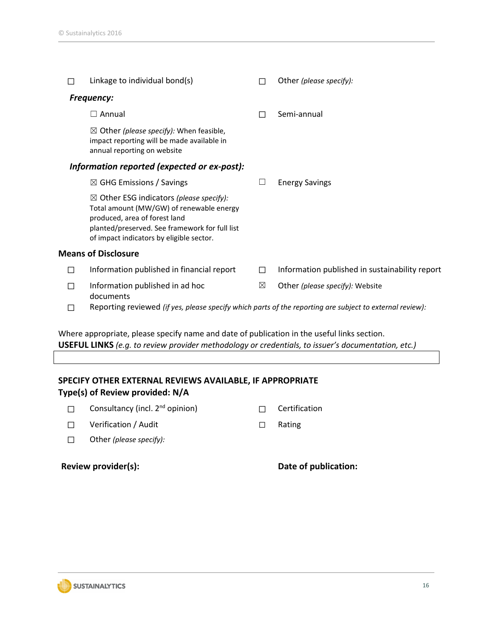|                                             | Linkage to individual bond(s)                                                                                                                                                                                                 |   | Other (please specify):                        |  |  |  |
|---------------------------------------------|-------------------------------------------------------------------------------------------------------------------------------------------------------------------------------------------------------------------------------|---|------------------------------------------------|--|--|--|
|                                             | <b>Frequency:</b>                                                                                                                                                                                                             |   |                                                |  |  |  |
|                                             | $\Box$ Annual                                                                                                                                                                                                                 | П | Semi-annual                                    |  |  |  |
|                                             | $\boxtimes$ Other <i>(please specify):</i> When feasible,<br>impact reporting will be made available in<br>annual reporting on website                                                                                        |   |                                                |  |  |  |
| Information reported (expected or ex-post): |                                                                                                                                                                                                                               |   |                                                |  |  |  |
|                                             | $\boxtimes$ GHG Emissions / Savings                                                                                                                                                                                           | П | <b>Energy Savings</b>                          |  |  |  |
|                                             | $\boxtimes$ Other ESG indicators (please specify):<br>Total amount (MW/GW) of renewable energy<br>produced, area of forest land<br>planted/preserved. See framework for full list<br>of impact indicators by eligible sector. |   |                                                |  |  |  |
|                                             | <b>Means of Disclosure</b>                                                                                                                                                                                                    |   |                                                |  |  |  |
| П                                           | Information published in financial report                                                                                                                                                                                     | П | Information published in sustainability report |  |  |  |
|                                             | Information published in ad hoc<br>documents                                                                                                                                                                                  | ⊠ | Other (please specify): Website                |  |  |  |
| $\mathsf{L}$                                | Reporting reviewed (if yes, please specify which parts of the reporting are subject to external review):                                                                                                                      |   |                                                |  |  |  |

Where appropriate, please specify name and date of publication in the useful links section. **USEFUL LINKS** *(e.g. to review provider methodology or credentials, to issuer's documentation, etc.)*

#### **SPECIFY OTHER EXTERNAL REVIEWS AVAILABLE, IF APPROPRIATE Type(s) of Review provided: N/A**

| Review provider(s):                         |         | Date of publication: |  |
|---------------------------------------------|---------|----------------------|--|
| Other (please specify):                     |         |                      |  |
| Verification / Audit                        | $\perp$ | Rating               |  |
| Consultancy (incl. 2 <sup>nd</sup> opinion) |         | Certification        |  |

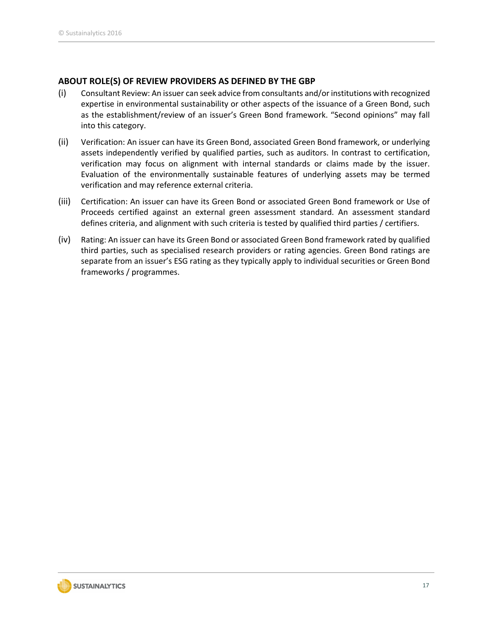#### **ABOUT ROLE(S) OF REVIEW PROVIDERS AS DEFINED BY THE GBP**

- (i) Consultant Review: An issuer can seek advice from consultants and/or institutions with recognized expertise in environmental sustainability or other aspects of the issuance of a Green Bond, such as the establishment/review of an issuer's Green Bond framework. "Second opinions" may fall into this category.
- (ii) Verification: An issuer can have its Green Bond, associated Green Bond framework, or underlying assets independently verified by qualified parties, such as auditors. In contrast to certification, verification may focus on alignment with internal standards or claims made by the issuer. Evaluation of the environmentally sustainable features of underlying assets may be termed verification and may reference external criteria.
- (iii) Certification: An issuer can have its Green Bond or associated Green Bond framework or Use of Proceeds certified against an external green assessment standard. An assessment standard defines criteria, and alignment with such criteria is tested by qualified third parties / certifiers.
- (iv) Rating: An issuer can have its Green Bond or associated Green Bond framework rated by qualified third parties, such as specialised research providers or rating agencies. Green Bond ratings are separate from an issuer's ESG rating as they typically apply to individual securities or Green Bond frameworks / programmes.

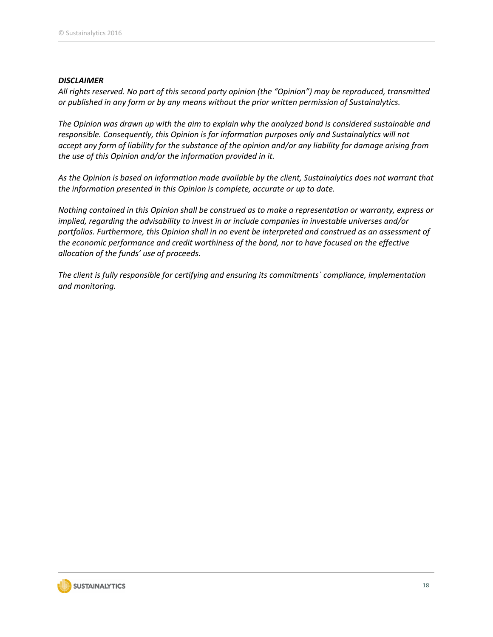#### *DISCLAIMER*

*All rights reserved. No part of this second party opinion (the "Opinion") may be reproduced, transmitted or published in any form or by any means without the prior written permission of Sustainalytics.* 

*The Opinion was drawn up with the aim to explain why the analyzed bond is considered sustainable and responsible. Consequently, this Opinion is for information purposes only and Sustainalytics will not accept any form of liability for the substance of the opinion and/or any liability for damage arising from the use of this Opinion and/or the information provided in it.*

*As the Opinion is based on information made available by the client, Sustainalytics does not warrant that the information presented in this Opinion is complete, accurate or up to date.*

*Nothing contained in this Opinion shall be construed as to make a representation or warranty, express or implied, regarding the advisability to invest in or include companies in investable universes and/or portfolios. Furthermore, this Opinion shall in no event be interpreted and construed as an assessment of the economic performance and credit worthiness of the bond, nor to have focused on the effective allocation of the funds' use of proceeds.*

*The client is fully responsible for certifying and ensuring its commitments` compliance, implementation and monitoring.*